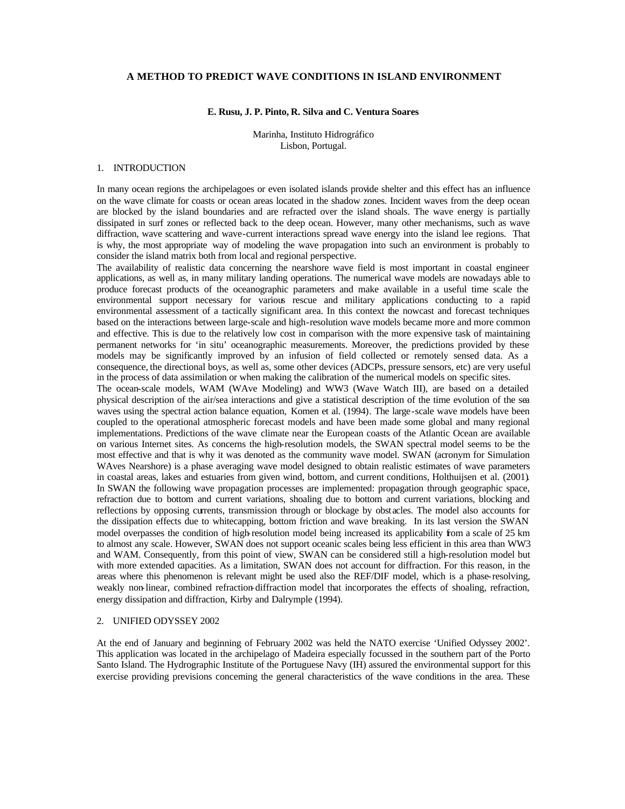### **A METHOD TO PREDICT WAVE CONDITIONS IN ISLAND ENVIRONMENT**

# **E. Rusu, J. P. Pinto, R. Silva and C. Ventura Soares**

Marinha, Instituto Hidrográfico Lisbon, Portugal.

# 1. INTRODUCTION

In many ocean regions the archipelagoes or even isolated islands provide shelter and this effect has an influence on the wave climate for coasts or ocean areas located in the shadow zones. Incident waves from the deep ocean are blocked by the island boundaries and are refracted over the island shoals. The wave energy is partially dissipated in surf zones or reflected back to the deep ocean. However, many other mechanisms, such as wave diffraction, wave scattering and wave-current interactions spread wave energy into the island lee regions. That is why, the most appropriate way of modeling the wave propagation into such an environment is probably to consider the island matrix both from local and regional perspective.

The availability of realistic data concerning the nearshore wave field is most important in coastal engineer applications, as well as, in many military landing operations. The numerical wave models are nowadays able to produce forecast products of the oceanographic parameters and make available in a useful time scale the environmental support necessary for various rescue and military applications conducting to a rapid environmental assessment of a tactically significant area. In this context the nowcast and forecast techniques based on the interactions between large-scale and high-resolution wave models became more and more common and effective. This is due to the relatively low cost in comparison with the more expensive task of maintaining permanent networks for 'in situ' oceanographic measurements. Moreover, the predictions provided by these models may be significantly improved by an infusion of field collected or remotely sensed data. As a consequence, the directional boys, as well as, some other devices (ADCPs, pressure sensors, etc) are very useful in the process of data assimilation or when making the calibration of the numerical models on specific sites.

The ocean-scale models, WAM (WAve Modeling) and WW3 (Wave Watch III), are based on a detailed physical description of the air/sea interactions and give a statistical description of the time evolution of the sea waves using the spectral action balance equation, Komen et al. (1994). The large-scale wave models have been coupled to the operational atmospheric forecast models and have been made some global and many regional implementations. Predictions of the wave climate near the European coasts of the Atlantic Ocean are available on various Internet sites. As concerns the high-resolution models, the SWAN spectral model seems to be the most effective and that is why it was denoted as the community wave model. SWAN (acronym for Simulation WAves Nearshore) is a phase averaging wave model designed to obtain realistic estimates of wave parameters in coastal areas, lakes and estuaries from given wind, bottom, and current conditions, Holthuijsen et al. (2001). In SWAN the following wave propagation processes are implemented: propagation through geographic space, refraction due to bottom and current variations, shoaling due to bottom and current variations, blocking and reflections by opposing currents, transmission through or blockage by obstacles. The model also accounts for the dissipation effects due to whitecapping, bottom friction and wave breaking. In its last version the SWAN model overpasses the condition of high-resolution model being increased its applicability from a scale of 25 km to almost any scale. However, SWAN does not support oceanic scales being less efficient in this area than WW3 and WAM. Consequently, from this point of view, SWAN can be considered still a high-resolution model but with more extended capacities. As a limitation, SWAN does not account for diffraction. For this reason, in the areas where this phenomenon is relevant might be used also the REF/DIF model, which is a phase-resolving, weakly non-linear, combined refraction-diffraction model that incorporates the effects of shoaling, refraction, energy dissipation and diffraction, Kirby and Dalrymple (1994).

### 2. UNIFIED ODYSSEY 2002

At the end of January and beginning of February 2002 was held the NATO exercise 'Unified Odyssey 2002'. This application was located in the archipelago of Madeira especially focussed in the southern part of the Porto Santo Island. The Hydrographic Institute of the Portuguese Navy (IH) assured the environmental support for this exercise providing previsions concerning the general characteristics of the wave conditions in the area. These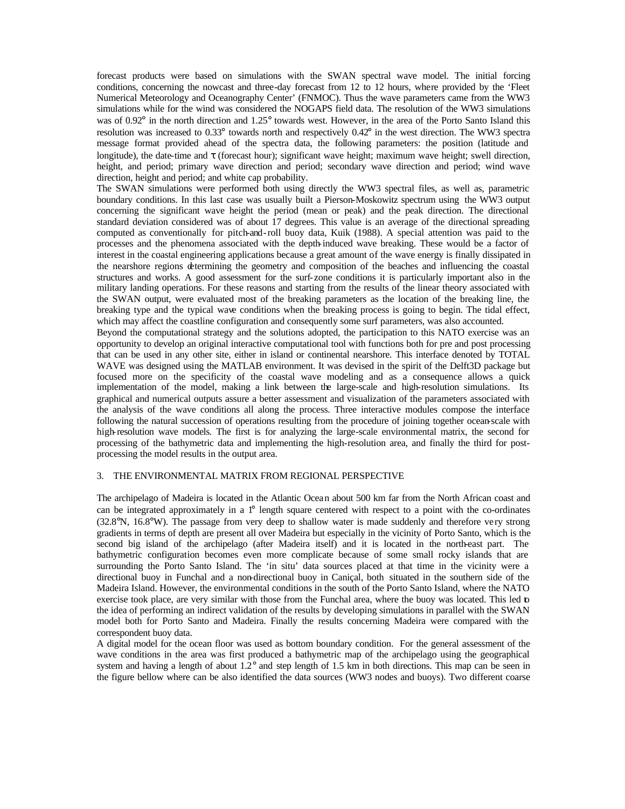forecast products were based on simulations with the SWAN spectral wave model. The initial forcing conditions, concerning the nowcast and three-day forecast from 12 to 12 hours, where provided by the 'Fleet Numerical Meteorology and Oceanography Center' (FNMOC). Thus the wave parameters came from the WW3 simulations while for the wind was considered the NOGAPS field data. The resolution of the WW3 simulations was of 0.92° in the north direction and 1.25° towards west. However, in the area of the Porto Santo Island this resolution was increased to 0.33° towards north and respectively 0.42° in the west direction. The WW3 spectra message format provided ahead of the spectra data, the following parameters: the position (latitude and longitude), the date-time and τ (forecast hour); significant wave height; maximum wave height; swell direction, height, and period; primary wave direction and period; secondary wave direction and period; wind wave direction, height and period; and white cap probability.

The SWAN simulations were performed both using directly the WW3 spectral files, as well as, parametric boundary conditions. In this last case was usually built a Pierson-Moskowitz spectrum using the WW3 output concerning the significant wave height the period (mean or peak) and the peak direction. The directional standard deviation considered was of about 17 degrees. This value is an average of the directional spreading computed as conventionally for pitch-and-roll buoy data, Kuik (1988). A special attention was paid to the processes and the phenomena associated with the depth-induced wave breaking. These would be a factor of interest in the coastal engineering applications because a great amount of the wave energy is finally dissipated in the nearshore regions determining the geometry and composition of the beaches and influencing the coastal structures and works. A good assessment for the surf-zone conditions it is particularly important also in the military landing operations. For these reasons and starting from the results of the linear theory associated with the SWAN output, were evaluated most of the breaking parameters as the location of the breaking line, the breaking type and the typical wave conditions when the breaking process is going to begin. The tidal effect, which may affect the coastline configuration and consequently some surf parameters, was also accounted.

Beyond the computational strategy and the solutions adopted, the participation to this NATO exercise was an opportunity to develop an original interactive computational tool with functions both for pre and post processing that can be used in any other site, either in island or continental nearshore. This interface denoted by TOTAL WAVE was designed using the MATLAB environment. It was devised in the spirit of the Delft3D package but focused more on the specificity of the coastal wave modeling and as a consequence allows a quick implementation of the model, making a link between the large-scale and high-resolution simulations. Its graphical and numerical outputs assure a better assessment and visualization of the parameters associated with the analysis of the wave conditions all along the process. Three interactive modules compose the interface following the natural succession of operations resulting from the procedure of joining together ocean-scale with high-resolution wave models. The first is for analyzing the large-scale environmental matrix, the second for processing of the bathymetric data and implementing the high-resolution area, and finally the third for postprocessing the model results in the output area.

# 3. THE ENVIRONMENTAL MATRIX FROM REGIONAL PERSPECTIVE

The archipelago of Madeira is located in the Atlantic Ocean about 500 km far from the North African coast and can be integrated approximately in a 1° length square centered with respect to a point with the co-ordinates  $(32.8°N, 16.8°W)$ . The passage from very deep to shallow water is made suddenly and therefore very strong gradients in terms of depth are present all over Madeira but especially in the vicinity of Porto Santo, which is the second big island of the archipelago (after Madeira itself) and it is located in the north-east part. The bathymetric configuration becomes even more complicate because of some small rocky islands that are surrounding the Porto Santo Island. The 'in situ' data sources placed at that time in the vicinity were a directional buoy in Funchal and a non-directional buoy in Caniçal, both situated in the southern side of the Madeira Island. However, the environmental conditions in the south of the Porto Santo Island, where the NATO exercise took place, are very similar with those from the Funchal area, where the buoy was located. This led to the idea of performing an indirect validation of the results by developing simulations in parallel with the SWAN model both for Porto Santo and Madeira. Finally the results concerning Madeira were compared with the correspondent buoy data.

A digital model for the ocean floor was used as bottom boundary condition. For the general assessment of the wave conditions in the area was first produced a bathymetric map of the archipelago using the geographical system and having a length of about 1.2° and step length of 1.5 km in both directions. This map can be seen in the figure bellow where can be also identified the data sources (WW3 nodes and buoys). Two different coarse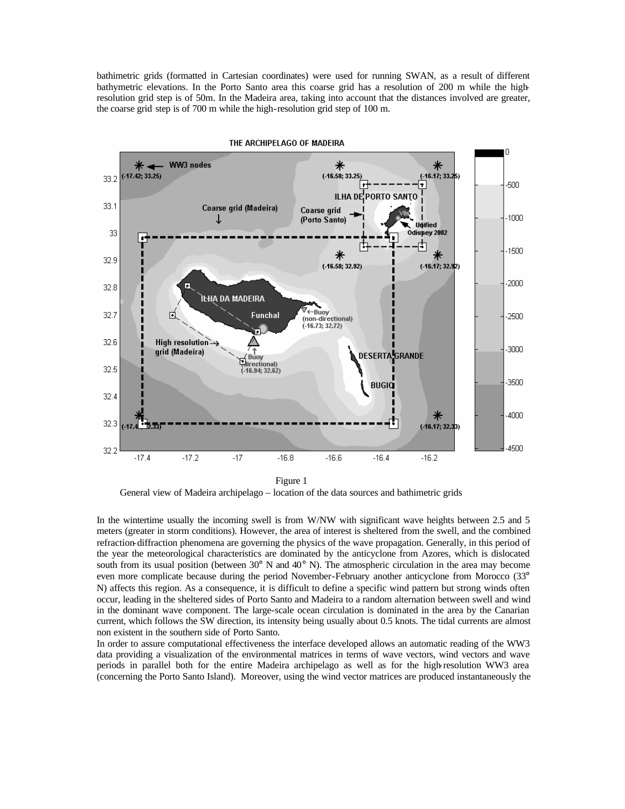bathimetric grids (formatted in Cartesian coordinates) were used for running SWAN, as a result of different bathymetric elevations. In the Porto Santo area this coarse grid has a resolution of 200 m while the highresolution grid step is of 50m. In the Madeira area, taking into account that the distances involved are greater, the coarse grid step is of 700 m while the high-resolution grid step of 100 m.



General view of Madeira archipelago – location of the data sources and bathimetric grids

In the wintertime usually the incoming swell is from W/NW with significant wave heights between 2.5 and 5 meters (greater in storm conditions). However, the area of interest is sheltered from the swell, and the combined refraction-diffraction phenomena are governing the physics of the wave propagation. Generally, in this period of the year the meteorological characteristics are dominated by the anticyclone from Azores, which is dislocated south from its usual position (between  $30^{\circ}$  N and  $40^{\circ}$  N). The atmospheric circulation in the area may become even more complicate because during the period November-February another anticyclone from Morocco (33° N) affects this region. As a consequence, it is difficult to define a specific wind pattern but strong winds often occur, leading in the sheltered sides of Porto Santo and Madeira to a random alternation between swell and wind in the dominant wave component. The large-scale ocean circulation is dominated in the area by the Canarian current, which follows the SW direction, its intensity being usually about 0.5 knots. The tidal currents are almost non existent in the southern side of Porto Santo.

In order to assure computational effectiveness the interface developed allows an automatic reading of the WW3 data providing a visualization of the environmental matrices in terms of wave vectors, wind vectors and wave periods in parallel both for the entire Madeira archipelago as well as for the high-resolution WW3 area (concerning the Porto Santo Island). Moreover, using the wind vector matrices are produced instantaneously the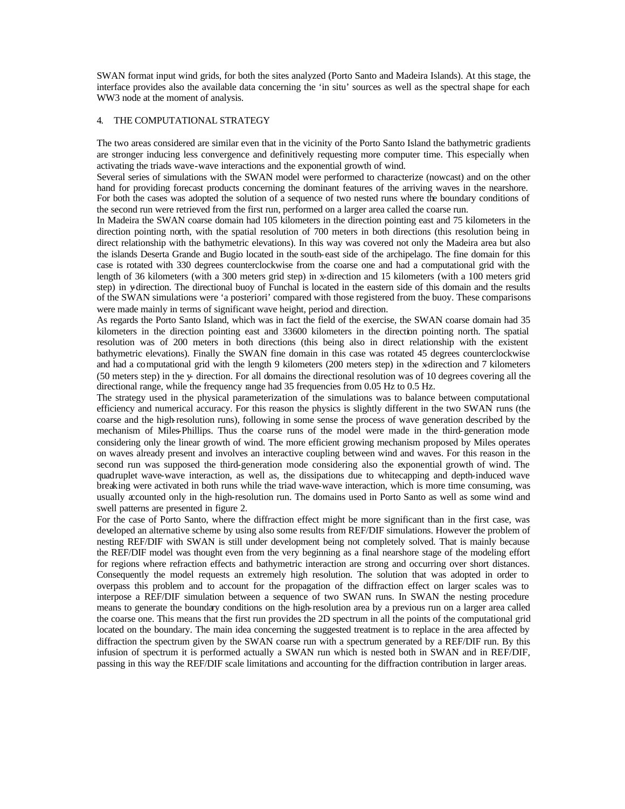SWAN format input wind grids, for both the sites analyzed (Porto Santo and Madeira Islands). At this stage, the interface provides also the available data concerning the 'in situ' sources as well as the spectral shape for each WW3 node at the moment of analysis.

# 4. THE COMPUTATIONAL STRATEGY

The two areas considered are similar even that in the vicinity of the Porto Santo Island the bathymetric gradients are stronger inducing less convergence and definitively requesting more computer time. This especially when activating the triads wave-wave interactions and the exponential growth of wind.

Several series of simulations with the SWAN model were performed to characterize (nowcast) and on the other hand for providing forecast products concerning the dominant features of the arriving waves in the nearshore. For both the cases was adopted the solution of a sequence of two nested runs where the boundary conditions of the second run were retrieved from the first run, performed on a larger area called the coarse run.

In Madeira the SWAN coarse domain had 105 kilometers in the direction pointing east and 75 kilometers in the direction pointing north, with the spatial resolution of 700 meters in both directions (this resolution being in direct relationship with the bathymetric elevations). In this way was covered not only the Madeira area but also the islands Deserta Grande and Bugio located in the south-east side of the archipelago. The fine domain for this case is rotated with 330 degrees counterclockwise from the coarse one and had a computational grid with the length of 36 kilometers (with a 300 meters grid step) in x-direction and 15 kilometers (with a 100 meters grid step) in y-direction. The directional buoy of Funchal is located in the eastern side of this domain and the results of the SWAN simulations were 'a posteriori' compared with those registered from the buoy. These comparisons were made mainly in terms of significant wave height, period and direction.

As regards the Porto Santo Island, which was in fact the field of the exercise, the SWAN coarse domain had 35 kilometers in the direction pointing east and 33600 kilometers in the direction pointing north. The spatial resolution was of 200 meters in both directions (this being also in direct relationship with the existent bathymetric elevations). Finally the SWAN fine domain in this case was rotated 45 degrees counterclockwise and had a computational grid with the length 9 kilometers (200 meters step) in the x-direction and 7 kilometers (50 meters step) in the y- direction. For all domains the directional resolution was of 10 degrees covering all the directional range, while the frequency range had 35 frequencies from 0.05 Hz to 0.5 Hz.

The strategy used in the physical parameterization of the simulations was to balance between computational efficiency and numerical accuracy. For this reason the physics is slightly different in the two SWAN runs (the coarse and the high-resolution runs), following in some sense the process of wave generation described by the mechanism of Miles-Phillips. Thus the coarse runs of the model were made in the third-generation mode considering only the linear growth of wind. The more efficient growing mechanism proposed by Miles operates on waves already present and involves an interactive coupling between wind and waves. For this reason in the second run was supposed the third-generation mode considering also the exponential growth of wind. The quadruplet wave-wave interaction, as well as, the dissipations due to whitecapping and depth-induced wave breaking were activated in both runs while the triad wave-wave interaction, which is more time consuming, was usually accounted only in the high-resolution run. The domains used in Porto Santo as well as some wind and swell patterns are presented in figure 2.

For the case of Porto Santo, where the diffraction effect might be more significant than in the first case, was developed an alternative scheme by using also some results from REF/DIF simulations. However the problem of nesting REF/DIF with SWAN is still under development being not completely solved. That is mainly because the REF/DIF model was thought even from the very beginning as a final nearshore stage of the modeling effort for regions where refraction effects and bathymetric interaction are strong and occurring over short distances. Consequently the model requests an extremely high resolution. The solution that was adopted in order to overpass this problem and to account for the propagation of the diffraction effect on larger scales was to interpose a REF/DIF simulation between a sequence of two SWAN runs. In SWAN the nesting procedure means to generate the boundary conditions on the high-resolution area by a previous run on a larger area called the coarse one. This means that the first run provides the 2D spectrum in all the points of the computational grid located on the boundary. The main idea concerning the suggested treatment is to replace in the area affected by diffraction the spectrum given by the SWAN coarse run with a spectrum generated by a REF/DIF run. By this infusion of spectrum it is performed actually a SWAN run which is nested both in SWAN and in REF/DIF, passing in this way the REF/DIF scale limitations and accounting for the diffraction contribution in larger areas.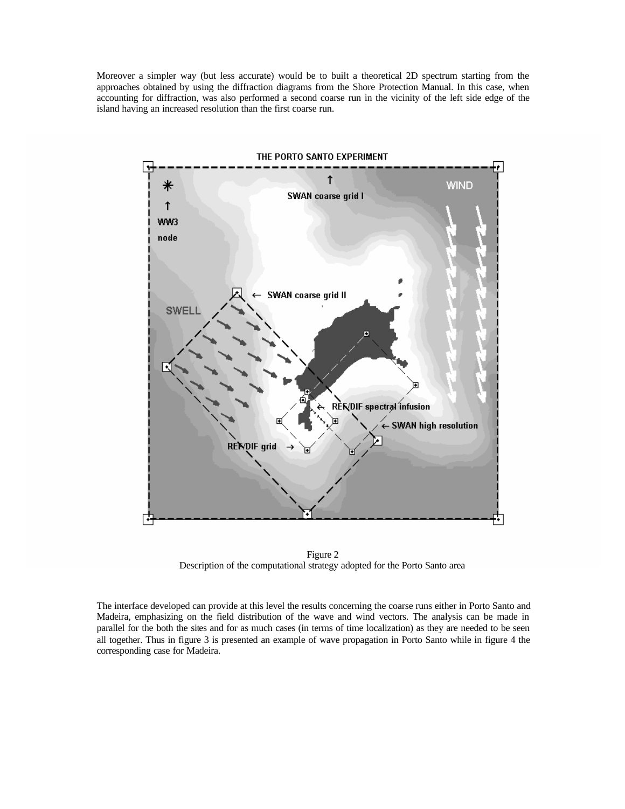Moreover a simpler way (but less accurate) would be to built a theoretical 2D spectrum starting from the approaches obtained by using the diffraction diagrams from the Shore Protection Manual. In this case, when accounting for diffraction, was also performed a second coarse run in the vicinity of the left side edge of the island having an increased resolution than the first coarse run.



Figure 2 Description of the computational strategy adopted for the Porto Santo area

The interface developed can provide at this level the results concerning the coarse runs either in Porto Santo and Madeira, emphasizing on the field distribution of the wave and wind vectors. The analysis can be made in parallel for the both the sites and for as much cases (in terms of time localization) as they are needed to be seen all together. Thus in figure 3 is presented an example of wave propagation in Porto Santo while in figure 4 the corresponding case for Madeira.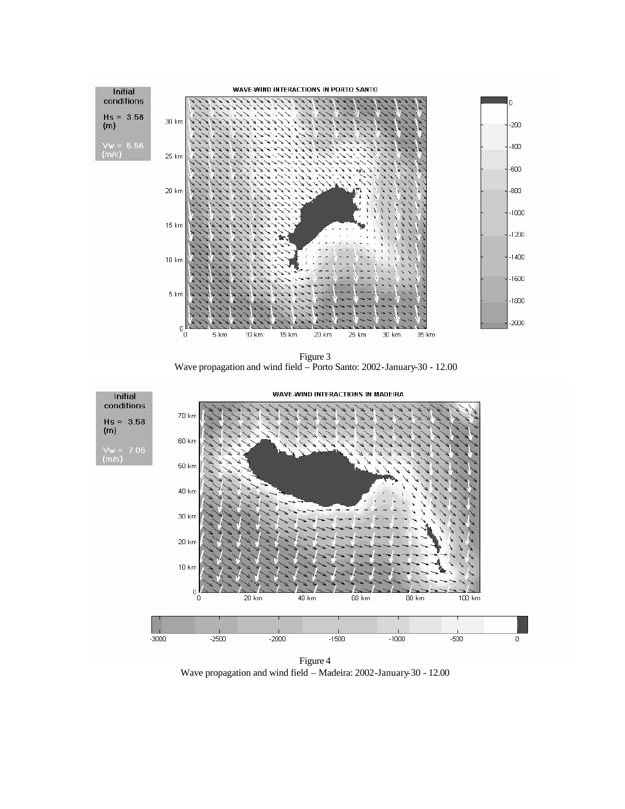

Figure 3 Wave propagation and wind field – Porto Santo: 2002-January-30 - 12.00



Wave propagation and wind field – Madeira: 2002-January-30 - 12.00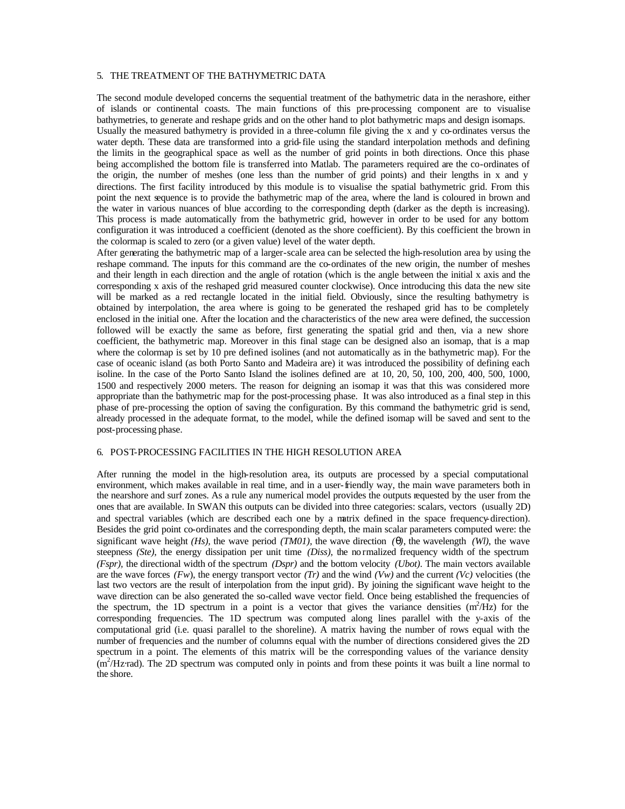### 5. THE TREATMENT OF THE BATHYMETRIC DATA

The second module developed concerns the sequential treatment of the bathymetric data in the nerashore, either of islands or continental coasts. The main functions of this pre-processing component are to visualise bathymetries, to generate and reshape grids and on the other hand to plot bathymetric maps and design isomaps.

Usually the measured bathymetry is provided in a three-column file giving the x and y co-ordinates versus the water depth. These data are transformed into a grid-file using the standard interpolation methods and defining the limits in the geographical space as well as the number of grid points in both directions. Once this phase being accomplished the bottom file is transferred into Matlab. The parameters required are the co-ordinates of the origin, the number of meshes (one less than the number of grid points) and their lengths in x and y directions. The first facility introduced by this module is to visualise the spatial bathymetric grid. From this point the next sequence is to provide the bathymetric map of the area, where the land is coloured in brown and the water in various nuances of blue according to the corresponding depth (darker as the depth is increasing). This process is made automatically from the bathymetric grid, however in order to be used for any bottom configuration it was introduced a coefficient (denoted as the shore coefficient). By this coefficient the brown in the colormap is scaled to zero (or a given value) level of the water depth.

After generating the bathymetric map of a larger-scale area can be selected the high-resolution area by using the reshape command. The inputs for this command are the co-ordinates of the new origin, the number of meshes and their length in each direction and the angle of rotation (which is the angle between the initial x axis and the corresponding x axis of the reshaped grid measured counter clockwise). Once introducing this data the new site will be marked as a red rectangle located in the initial field. Obviously, since the resulting bathymetry is obtained by interpolation, the area where is going to be generated the reshaped grid has to be completely enclosed in the initial one. After the location and the characteristics of the new area were defined, the succession followed will be exactly the same as before, first generating the spatial grid and then, via a new shore coefficient, the bathymetric map. Moreover in this final stage can be designed also an isomap, that is a map where the colormap is set by 10 pre defined isolines (and not automatically as in the bathymetric map). For the case of oceanic island (as both Porto Santo and Madeira are) it was introduced the possibility of defining each isoline. In the case of the Porto Santo Island the isolines defined are at 10, 20, 50, 100, 200, 400, 500, 1000, 1500 and respectively 2000 meters. The reason for deigning an isomap it was that this was considered more appropriate than the bathymetric map for the post-processing phase. It was also introduced as a final step in this phase of pre-processing the option of saving the configuration. By this command the bathymetric grid is send, already processed in the adequate format, to the model, while the defined isomap will be saved and sent to the post-processing phase.

# 6. POST-PROCESSING FACILITIES IN THE HIGH RESOLUTION AREA

After running the model in the high-resolution area, its outputs are processed by a special computational environment, which makes available in real time, and in a user-friendly way, the main wave parameters both in the nearshore and surf zones. As a rule any numerical model provides the outputs requested by the user from the ones that are available. In SWAN this outputs can be divided into three categories: scalars, vectors (usually 2D) and spectral variables (which are described each one by a matrix defined in the space frequency-direction). Besides the grid point co-ordinates and the corresponding depth, the main scalar parameters computed were: the significant wave height *(Hs)*, the wave period *(TM01)*, the wave direction  $\bf(q)$ , the wavelength *(Wl)*, the wave steepness *(Ste)*, the energy dissipation per unit time *(Diss)*, the no rmalized frequency width of the spectrum *(Fspr),* the directional width of the spectrum *(Dspr)* and the bottom velocity *(Ubot)*. The main vectors available are the wave forces *(Fw)*, the energy transport vector *(Tr)* and the wind *(Vw)* and the current *(Vc)* velocities (the last two vectors are the result of interpolation from the input grid)*.* By joining the significant wave height to the wave direction can be also generated the so-called wave vector field. Once being established the frequencies of the spectrum, the 1D spectrum in a point is a vector that gives the variance densities  $(m^2/Hz)$  for the corresponding frequencies. The 1D spectrum was computed along lines parallel with the y-axis of the computational grid (i.e. quasi parallel to the shoreline). A matrix having the number of rows equal with the number of frequencies and the number of columns equal with the number of directions considered gives the 2D spectrum in a point. The elements of this matrix will be the corresponding values of the variance density  $(m<sup>2</sup>/Hz$  rad). The 2D spectrum was computed only in points and from these points it was built a line normal to the shore.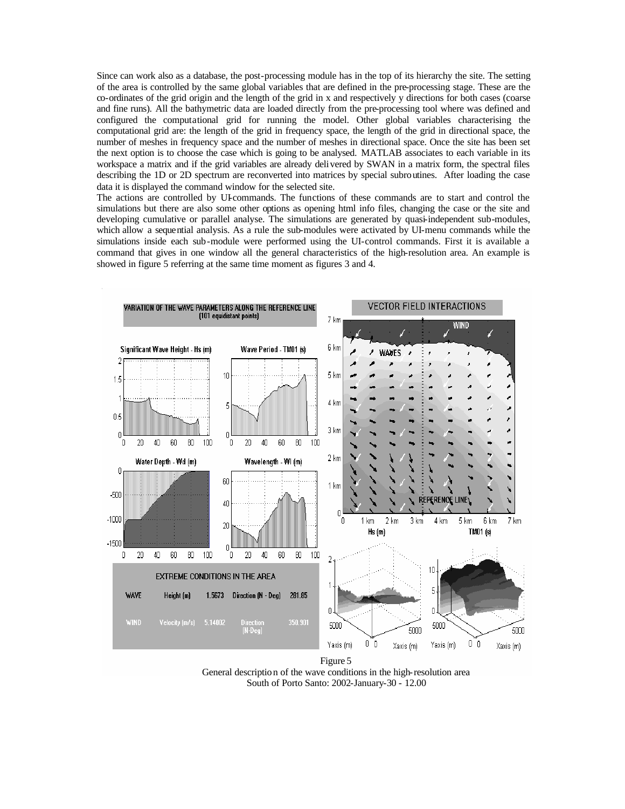Since can work also as a database, the post-processing module has in the top of its hierarchy the site. The setting of the area is controlled by the same global variables that are defined in the pre-processing stage. These are the co-ordinates of the grid origin and the length of the grid in x and respectively y directions for both cases (coarse and fine runs). All the bathymetric data are loaded directly from the pre-processing tool where was defined and configured the computational grid for running the model. Other global variables characterising the computational grid are: the length of the grid in frequency space, the length of the grid in directional space, the number of meshes in frequency space and the number of meshes in directional space. Once the site has been set the next option is to choose the case which is going to be analysed. MATLAB associates to each variable in its workspace a matrix and if the grid variables are already delivered by SWAN in a matrix form, the spectral files describing the 1D or 2D spectrum are reconverted into matrices by special subroutines. After loading the case data it is displayed the command window for the selected site.

The actions are controlled by UI-commands. The functions of these commands are to start and control the simulations but there are also some other options as opening html info files, changing the case or the site and developing cumulative or parallel analyse. The simulations are generated by quasi-independent sub-modules, which allow a sequential analysis. As a rule the sub-modules were activated by UI-menu commands while the simulations inside each sub-module were performed using the UI-control commands. First it is available a command that gives in one window all the general characteristics of the high-resolution area. An example is showed in figure 5 referring at the same time moment as figures 3 and 4.



Figure 5 General description of the wave conditions in the high-resolution area South of Porto Santo: 2002-January-30 - 12.00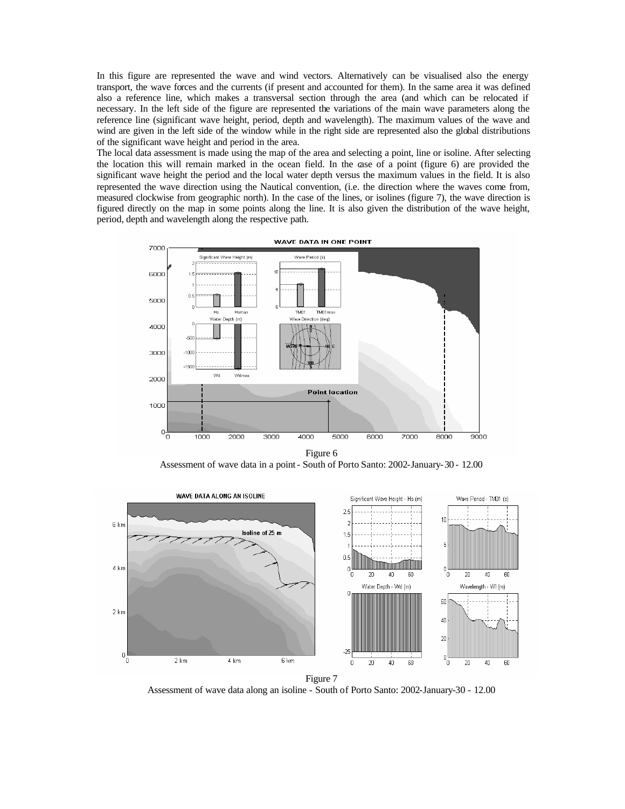In this figure are represented the wave and wind vectors. Alternatively can be visualised also the energy transport, the wave forces and the currents (if present and accounted for them). In the same area it was defined also a reference line, which makes a transversal section through the area (and which can be relocated if necessary. In the left side of the figure are represented the variations of the main wave parameters along the reference line (significant wave height, period, depth and wavelength). The maximum values of the wave and wind are given in the left side of the window while in the right side are represented also the global distributions of the significant wave height and period in the area.

The local data assessment is made using the map of the area and selecting a point, line or isoline. After selecting the location this will remain marked in the ocean field. In the case of a point (figure 6) are provided the significant wave height the period and the local water depth versus the maximum values in the field. It is also represented the wave direction using the Nautical convention, (i.e. the direction where the waves come from, measured clockwise from geographic north). In the case of the lines, or isolines (figure 7), the wave direction is figured directly on the map in some points along the line. It is also given the distribution of the wave height, period, depth and wavelength along the respective path.



Figure 6 Assessment of wave data in a point - South of Porto Santo: 2002-January-30 - 12.00



Assessment of wave data along an isoline - South of Porto Santo: 2002-January-30 - 12.00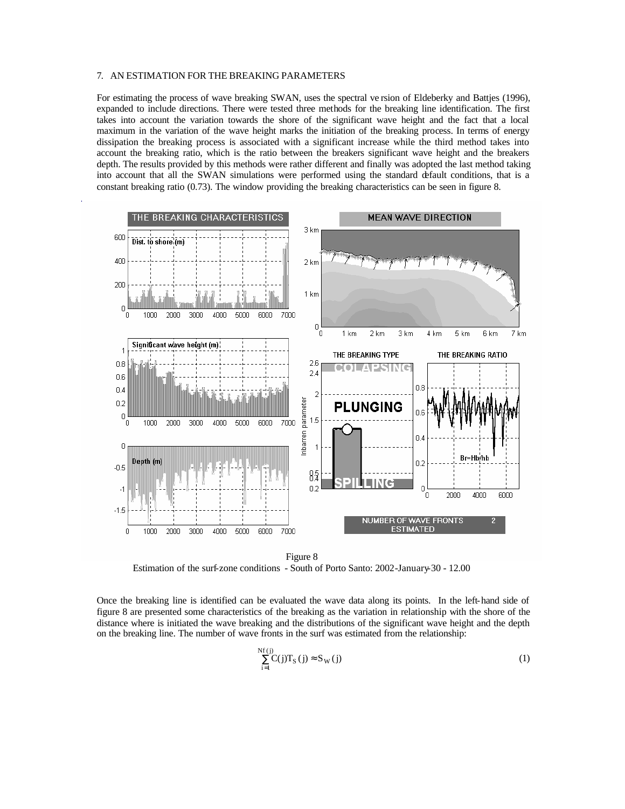### 7. AN ESTIMATION FOR THE BREAKING PARAMETERS

For estimating the process of wave breaking SWAN, uses the spectral ve rsion of Eldeberky and Battjes (1996), expanded to include directions. There were tested three methods for the breaking line identification. The first takes into account the variation towards the shore of the significant wave height and the fact that a local maximum in the variation of the wave height marks the initiation of the breaking process. In terms of energy dissipation the breaking process is associated with a significant increase while the third method takes into account the breaking ratio, which is the ratio between the breakers significant wave height and the breakers depth. The results provided by this methods were rather different and finally was adopted the last method taking into account that all the SWAN simulations were performed using the standard default conditions, that is a constant breaking ratio (0.73). The window providing the breaking characteristics can be seen in figure 8.



Figure 8 Estimation of the surf-zone conditions - South of Porto Santo: 2002-January-30 - 12.00

Once the breaking line is identified can be evaluated the wave data along its points. In the left-hand side of figure 8 are presented some characteristics of the breaking as the variation in relationship with the shore of the distance where is initiated the wave breaking and the distributions of the significant wave height and the depth on the breaking line. The number of wave fronts in the surf was estimated from the relationship:

$$
\sum_{i=1}^{Nf(j)} C(j) T_S(j) \approx S_W(j)
$$
 (1)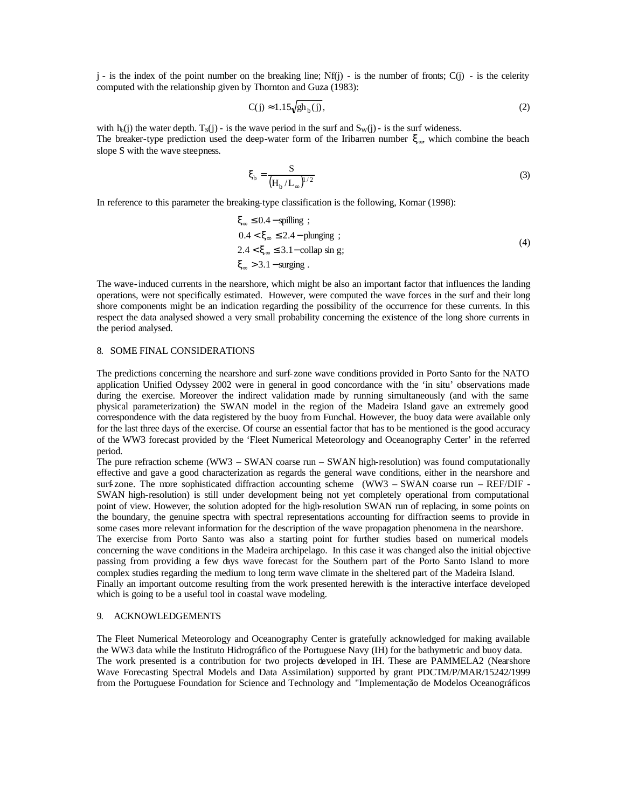$j -$  is the index of the point number on the breaking line; Nf(j) - is the number of fronts; C(j) - is the celerity computed with the relationship given by Thornton and Guza (1983):

$$
C(j) \approx 1.15 \sqrt{gh_b(j)},\tag{2}
$$

with  $h_0(j)$  the water depth.  $T_S(j)$  - is the wave period in the surf and  $S_W(j)$  - is the surf wideness. The breaker-type prediction used the deep-water form of the Iribarren number  $\xi_{\infty}$ , which combine the beach slope S with the wave steepness.

$$
\xi_{\rm b} = \frac{S}{\left(H_{\rm b}/L_{\infty}\right)^{1/2}}\tag{3}
$$

In reference to this parameter the breaking-type classification is the following, Komar (1998):

$$
\xi_{\infty} \le 0.4 - \text{spilling } ;
$$
  
\n
$$
0.4 < \xi_{\infty} \le 2.4 - \text{plunging } ;
$$
  
\n
$$
2.4 < \xi_{\infty} \le 3.1 - \text{collap sin g};
$$
  
\n
$$
\xi_{\infty} > 3.1 - \text{surging } .
$$
  
\n(4)

The wave-induced currents in the nearshore, which might be also an important factor that influences the landing operations, were not specifically estimated. However, were computed the wave forces in the surf and their long shore components might be an indication regarding the possibility of the occurrence for these currents. In this respect the data analysed showed a very small probability concerning the existence of the long shore currents in the period analysed.

### 8. SOME FINAL CONSIDERATIONS

The predictions concerning the nearshore and surf-zone wave conditions provided in Porto Santo for the NATO application Unified Odyssey 2002 were in general in good concordance with the 'in situ' observations made during the exercise. Moreover the indirect validation made by running simultaneously (and with the same physical parameterization) the SWAN model in the region of the Madeira Island gave an extremely good correspondence with the data registered by the buoy from Funchal. However, the buoy data were available only for the last three days of the exercise. Of course an essential factor that has to be mentioned is the good accuracy of the WW3 forecast provided by the 'Fleet Numerical Meteorology and Oceanography Center' in the referred period.

The pure refraction scheme (WW3 – SWAN coarse run – SWAN high-resolution) was found computationally effective and gave a good characterization as regards the general wave conditions, either in the nearshore and surf-zone. The more sophisticated diffraction accounting scheme (WW3 – SWAN coarse run – REF/DIF -SWAN high-resolution) is still under development being not yet completely operational from computational point of view. However, the solution adopted for the high-resolution SWAN run of replacing, in some points on the boundary, the genuine spectra with spectral representations accounting for diffraction seems to provide in some cases more relevant information for the description of the wave propagation phenomena in the nearshore. The exercise from Porto Santo was also a starting point for further studies based on numerical models concerning the wave conditions in the Madeira archipelago. In this case it was changed also the initial objective passing from providing a few days wave forecast for the Southern part of the Porto Santo Island to more complex studies regarding the medium to long term wave climate in the sheltered part of the Madeira Island. Finally an important outcome resulting from the work presented herewith is the interactive interface developed which is going to be a useful tool in coastal wave modeling.

#### 9. ACKNOWLEDGEMENTS

The Fleet Numerical Meteorology and Oceanography Center is gratefully acknowledged for making available the WW3 data while the Instituto Hidrográfico of the Portuguese Navy (IH) for the bathymetric and buoy data. The work presented is a contribution for two projects developed in IH. These are PAMMELA2 (Nearshore Wave Forecasting Spectral Models and Data Assimilation) supported by grant PDCTM/P/MAR/15242/1999 from the Portuguese Foundation for Science and Technology and "Implementação de Modelos Oceanográficos